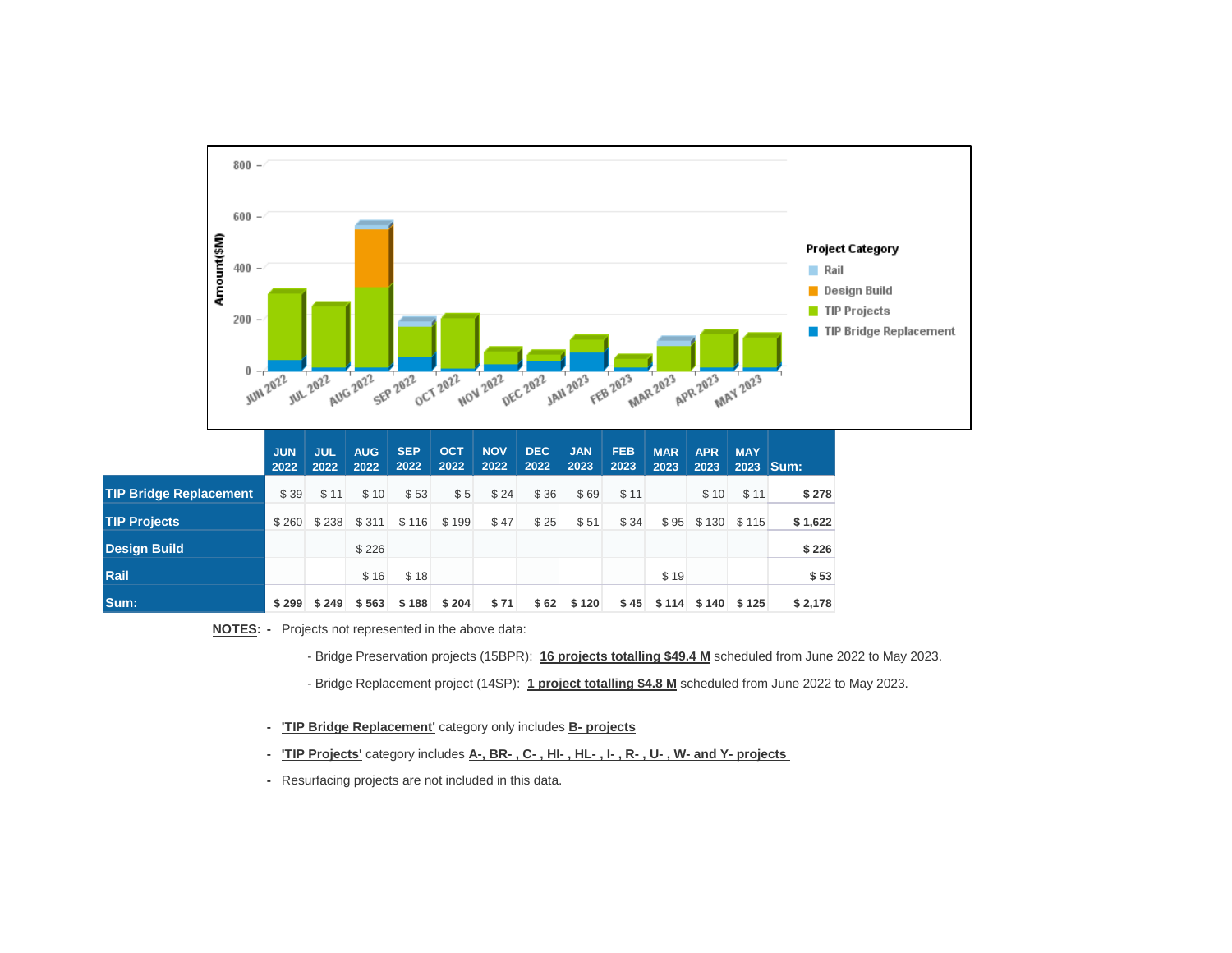

**\$ 188 \$ 204 \$ 71 \$ 62 \$ 120 \$ 45 \$ 125 \$ 114 \$ 140 \$ 249 \$ 563 \$ 299**

**NOTES: -** Projects not represented in the above data:

**Sum:**

**Rail**

- Bridge Preservation projects (15BPR): **16 projects totalling \$49.4 M** scheduled from June 2022 to May 2023.
- Bridge Replacement project (14SP): **1 project totalling \$4.8 M** scheduled from June 2022 to May 2023.
- **- 'TIP Bridge Replacement'** category only includes **B- projects**
- **- 'TIP Projects'** category includes **A-, BR- , C- , HI- , HL- , I- , R- , U- , W- and Y- projects**
- Resurfacing projects are not included in this data.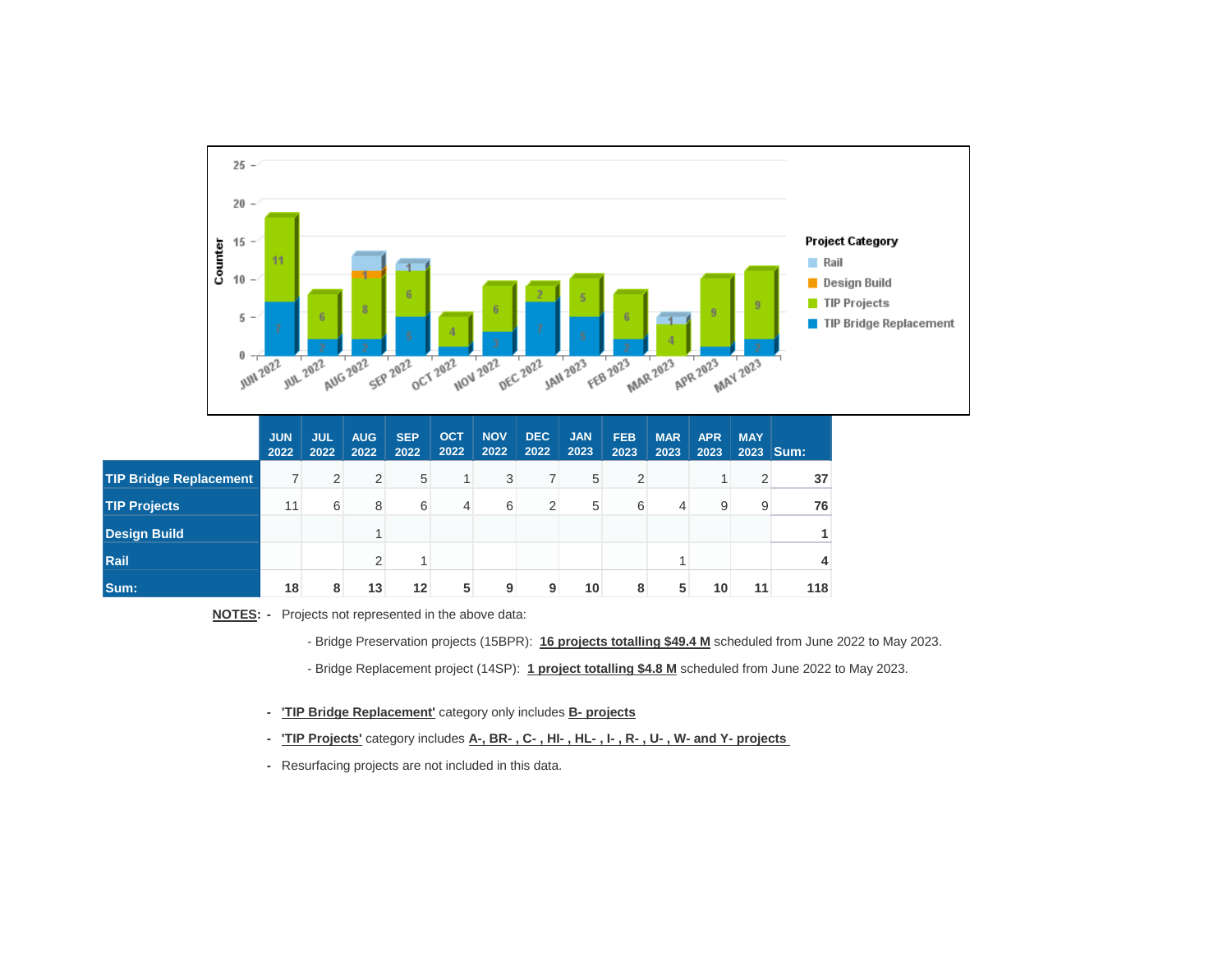

**NOTES: -** Projects not represented in the above data:

- Bridge Preservation projects (15BPR): **16 projects totalling \$49.4 M** scheduled from June 2022 to May 2023.

- Bridge Replacement project (14SP): **1 project totalling \$4.8 M** scheduled from June 2022 to May 2023.

**- 'TIP Bridge Replacement'** category only includes **B- projects**

**- 'TIP Projects'** category includes **A-, BR- , C- , HI- , HL- , I- , R- , U- , W- and Y- projects** 

**-** Resurfacing projects are not included in this data.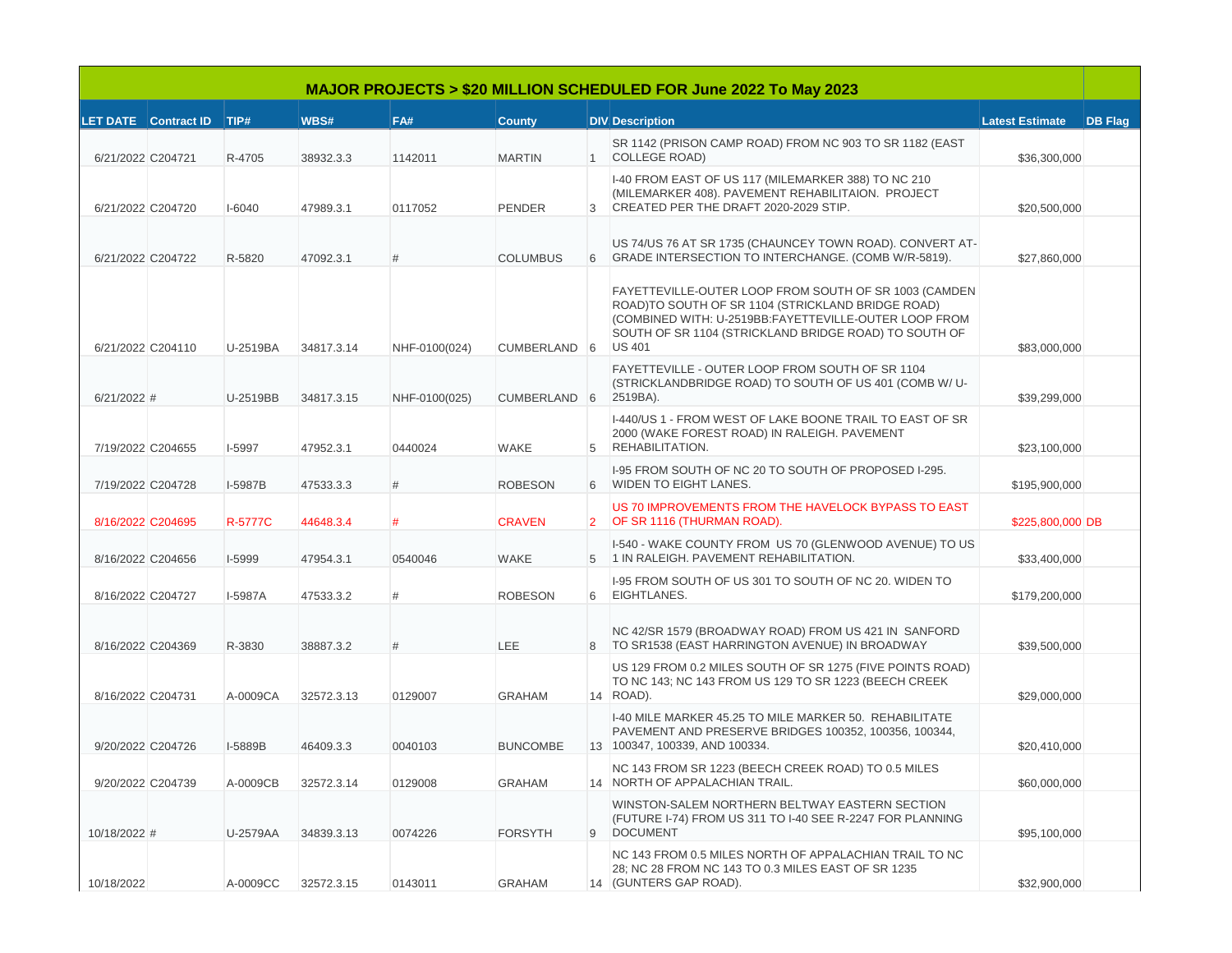| <b>MAJOR PROJECTS &gt; \$20 MILLION SCHEDULED FOR June 2022 To May 2023</b> |                           |                |            |               |                 |               |                                                                                                                                                                                                                                               |                        |                |
|-----------------------------------------------------------------------------|---------------------------|----------------|------------|---------------|-----------------|---------------|-----------------------------------------------------------------------------------------------------------------------------------------------------------------------------------------------------------------------------------------------|------------------------|----------------|
|                                                                             | LET DATE Contract ID TIP# |                | WBS#       | FA#           | <b>County</b>   |               | <b>DIV</b> Description                                                                                                                                                                                                                        | <b>Latest Estimate</b> | <b>DB Flag</b> |
| 6/21/2022 C204721                                                           |                           | R-4705         | 38932.3.3  | 1142011       | <b>MARTIN</b>   |               | SR 1142 (PRISON CAMP ROAD) FROM NC 903 TO SR 1182 (EAST<br>1 COLLEGE ROAD)                                                                                                                                                                    | \$36,300,000           |                |
| 6/21/2022 C204720                                                           |                           | I-6040         | 47989.3.1  | 0117052       | <b>PENDER</b>   | $\mathcal{E}$ | I-40 FROM EAST OF US 117 (MILEMARKER 388) TO NC 210<br>(MILEMARKER 408). PAVEMENT REHABILITAION. PROJECT<br>CREATED PER THE DRAFT 2020-2029 STIP.                                                                                             | \$20,500,000           |                |
|                                                                             | 6/21/2022 C204722         | R-5820         | 47092.3.1  | #             | <b>COLUMBUS</b> |               | US 74/US 76 AT SR 1735 (CHAUNCEY TOWN ROAD). CONVERT AT-<br>6 GRADE INTERSECTION TO INTERCHANGE. (COMB W/R-5819).                                                                                                                             | \$27,860,000           |                |
| 6/21/2022 C204110                                                           |                           | U-2519BA       | 34817.3.14 | NHF-0100(024) | CUMBERLAND 6    |               | FAYETTEVILLE-OUTER LOOP FROM SOUTH OF SR 1003 (CAMDEN<br>ROAD)TO SOUTH OF SR 1104 (STRICKLAND BRIDGE ROAD)<br>(COMBINED WITH: U-2519BB:FAYETTEVILLE-OUTER LOOP FROM<br>SOUTH OF SR 1104 (STRICKLAND BRIDGE ROAD) TO SOUTH OF<br><b>US 401</b> | \$83,000,000           |                |
| $6/21/2022$ #                                                               |                           | U-2519BB       | 34817.3.15 | NHF-0100(025) | CUMBERLAND 6    |               | FAYETTEVILLE - OUTER LOOP FROM SOUTH OF SR 1104<br>(STRICKLANDBRIDGE ROAD) TO SOUTH OF US 401 (COMB W/ U-<br>2519BA).                                                                                                                         | \$39,299,000           |                |
| 7/19/2022 C204655                                                           |                           | <b>I-5997</b>  | 47952.3.1  | 0440024       | WAKE            | $5^{\circ}$   | I-440/US 1 - FROM WEST OF LAKE BOONE TRAIL TO EAST OF SR<br>2000 (WAKE FOREST ROAD) IN RALEIGH. PAVEMENT<br>REHABILITATION.                                                                                                                   | \$23,100,000           |                |
|                                                                             | 7/19/2022 C204728         | I-5987B        | 47533.3.3  | #             | <b>ROBESON</b>  |               | I-95 FROM SOUTH OF NC 20 TO SOUTH OF PROPOSED I-295.<br>6 WIDEN TO EIGHT LANES.                                                                                                                                                               | \$195,900,000          |                |
| 8/16/2022 C204695                                                           |                           | <b>R-5777C</b> | 44648.3.4  | #             | <b>CRAVEN</b>   |               | US 70 IMPROVEMENTS FROM THE HAVELOCK BYPASS TO EAST<br>2 OF SR 1116 (THURMAN ROAD).                                                                                                                                                           | \$225,800,000 DB       |                |
|                                                                             | 8/16/2022 C204656         | I-5999         | 47954.3.1  | 0540046       | <b>WAKE</b>     |               | I-540 - WAKE COUNTY FROM US 70 (GLENWOOD AVENUE) TO US<br>5 1 IN RALEIGH. PAVEMENT REHABILITATION.                                                                                                                                            | \$33,400,000           |                |
| 8/16/2022 C204727                                                           |                           | I-5987A        | 47533.3.2  | #             | <b>ROBESON</b>  | 6             | I-95 FROM SOUTH OF US 301 TO SOUTH OF NC 20. WIDEN TO<br>EIGHTLANES.                                                                                                                                                                          | \$179,200,000          |                |
| 8/16/2022 C204369                                                           |                           | R-3830         | 38887.3.2  | #             | <b>LEE</b>      |               | NC 42/SR 1579 (BROADWAY ROAD) FROM US 421 IN SANFORD<br>8 TO SR1538 (EAST HARRINGTON AVENUE) IN BROADWAY                                                                                                                                      | \$39,500,000           |                |
| 8/16/2022 C204731                                                           |                           | A-0009CA       | 32572.3.13 | 0129007       | <b>GRAHAM</b>   |               | US 129 FROM 0.2 MILES SOUTH OF SR 1275 (FIVE POINTS ROAD)<br>TO NC 143; NC 143 FROM US 129 TO SR 1223 (BEECH CREEK<br>14 ROAD).                                                                                                               | \$29,000,000           |                |
|                                                                             | 9/20/2022 C204726         | I-5889B        | 46409.3.3  | 0040103       | <b>BUNCOMBE</b> |               | I-40 MILE MARKER 45.25 TO MILE MARKER 50. REHABILITATE<br>PAVEMENT AND PRESERVE BRIDGES 100352, 100356, 100344,<br>13 100347, 100339, AND 100334.                                                                                             | \$20,410,000           |                |
|                                                                             | 9/20/2022 C204739         | A-0009CB       | 32572.3.14 | 0129008       | <b>GRAHAM</b>   |               | NC 143 FROM SR 1223 (BEECH CREEK ROAD) TO 0.5 MILES<br>14 NORTH OF APPALACHIAN TRAIL.                                                                                                                                                         | \$60,000,000           |                |
| 10/18/2022 #                                                                |                           | U-2579AA       | 34839.3.13 | 0074226       | <b>FORSYTH</b>  | 9             | WINSTON-SALEM NORTHERN BELTWAY EASTERN SECTION<br>(FUTURE I-74) FROM US 311 TO I-40 SEE R-2247 FOR PLANNING<br><b>DOCUMENT</b>                                                                                                                | \$95,100,000           |                |
| 10/18/2022                                                                  |                           | A-0009CC       | 32572.3.15 | 0143011       | GRAHAM          |               | NC 143 FROM 0.5 MILES NORTH OF APPALACHIAN TRAIL TO NC<br>28; NC 28 FROM NC 143 TO 0.3 MILES EAST OF SR 1235<br>14 (GUNTERS GAP ROAD).                                                                                                        | \$32,900,000           |                |